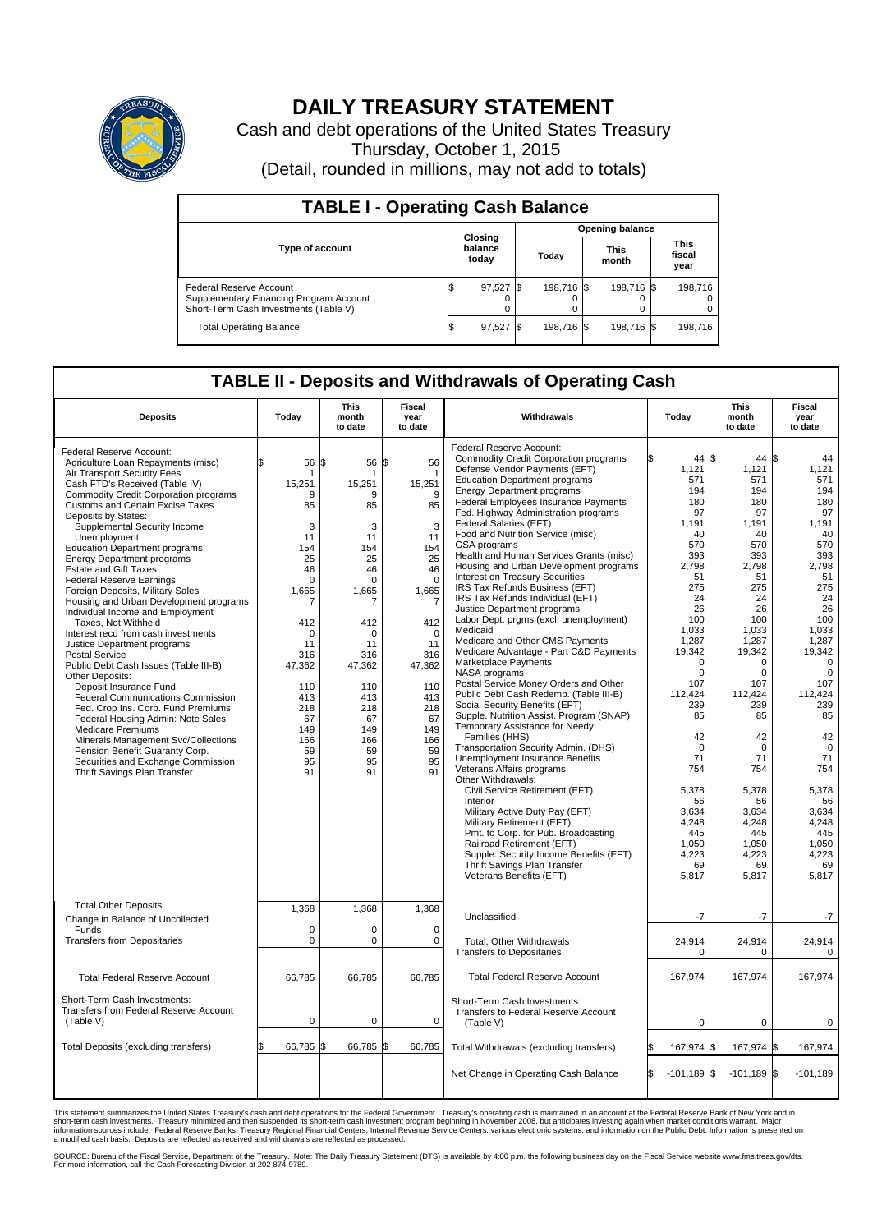

## **DAILY TREASURY STATEMENT**

Cash and debt operations of the United States Treasury Thursday, October 1, 2015 (Detail, rounded in millions, may not add to totals)

| <b>TABLE I - Operating Cash Balance</b>                                                                     |  |                             |  |                        |  |                      |  |                               |  |  |  |
|-------------------------------------------------------------------------------------------------------------|--|-----------------------------|--|------------------------|--|----------------------|--|-------------------------------|--|--|--|
|                                                                                                             |  |                             |  | <b>Opening balance</b> |  |                      |  |                               |  |  |  |
| <b>Type of account</b>                                                                                      |  | Closing<br>balance<br>today |  | Today                  |  | <b>This</b><br>month |  | <b>This</b><br>fiscal<br>year |  |  |  |
| Federal Reserve Account<br>Supplementary Financing Program Account<br>Short-Term Cash Investments (Table V) |  | 97,527                      |  | 198.716 \$             |  | 198.716 \$           |  | 198.716                       |  |  |  |
| <b>Total Operating Balance</b>                                                                              |  | 97,527 \$                   |  | 198.716 \$             |  | 198,716 \$           |  | 198,716                       |  |  |  |

## **TABLE II - Deposits and Withdrawals of Operating Cash**

| <b>Deposits</b>                                                                                                                                                                                                                                                                                                                                                                                                                                                                                                                                                                                                                                                                                                                                                                                                                                                                                                                                                                                                                                                                   | Today                                                                                                                                                                                                  | <b>This</b><br>month<br>to date                                                                                                                                                 | <b>Fiscal</b><br>year<br>to date                                                                                                                                                           | Withdrawals                                                                                                                                                                                                                                                                                                                                                                                                                                                                                                                                                                                                                                                                                                                                                                                                                                                                                                                                                                                                                                                                                                                                                                                                                                                                                                                                                                         | Today                                                                                                                                                                                                                                                                                                | <b>This</b><br>month<br>to date                                                                                                                                                                                                                                                       | <b>Fiscal</b><br>year<br>to date                                                                                                                                                                                                                                                                     |  |
|-----------------------------------------------------------------------------------------------------------------------------------------------------------------------------------------------------------------------------------------------------------------------------------------------------------------------------------------------------------------------------------------------------------------------------------------------------------------------------------------------------------------------------------------------------------------------------------------------------------------------------------------------------------------------------------------------------------------------------------------------------------------------------------------------------------------------------------------------------------------------------------------------------------------------------------------------------------------------------------------------------------------------------------------------------------------------------------|--------------------------------------------------------------------------------------------------------------------------------------------------------------------------------------------------------|---------------------------------------------------------------------------------------------------------------------------------------------------------------------------------|--------------------------------------------------------------------------------------------------------------------------------------------------------------------------------------------|-------------------------------------------------------------------------------------------------------------------------------------------------------------------------------------------------------------------------------------------------------------------------------------------------------------------------------------------------------------------------------------------------------------------------------------------------------------------------------------------------------------------------------------------------------------------------------------------------------------------------------------------------------------------------------------------------------------------------------------------------------------------------------------------------------------------------------------------------------------------------------------------------------------------------------------------------------------------------------------------------------------------------------------------------------------------------------------------------------------------------------------------------------------------------------------------------------------------------------------------------------------------------------------------------------------------------------------------------------------------------------------|------------------------------------------------------------------------------------------------------------------------------------------------------------------------------------------------------------------------------------------------------------------------------------------------------|---------------------------------------------------------------------------------------------------------------------------------------------------------------------------------------------------------------------------------------------------------------------------------------|------------------------------------------------------------------------------------------------------------------------------------------------------------------------------------------------------------------------------------------------------------------------------------------------------|--|
| Federal Reserve Account:<br>Agriculture Loan Repayments (misc)<br>Air Transport Security Fees<br>Cash FTD's Received (Table IV)<br><b>Commodity Credit Corporation programs</b><br><b>Customs and Certain Excise Taxes</b><br>Deposits by States:<br>Supplemental Security Income<br>Unemployment<br><b>Education Department programs</b><br><b>Energy Department programs</b><br><b>Estate and Gift Taxes</b><br><b>Federal Reserve Earnings</b><br>Foreign Deposits, Military Sales<br>Housing and Urban Development programs<br>Individual Income and Employment<br>Taxes, Not Withheld<br>Interest recd from cash investments<br>Justice Department programs<br><b>Postal Service</b><br>Public Debt Cash Issues (Table III-B)<br>Other Deposits:<br>Deposit Insurance Fund<br><b>Federal Communications Commission</b><br>Fed. Crop Ins. Corp. Fund Premiums<br>Federal Housing Admin: Note Sales<br><b>Medicare Premiums</b><br>Minerals Management Svc/Collections<br>Pension Benefit Guaranty Corp.<br>Securities and Exchange Commission<br>Thrift Savings Plan Transfer | 56<br>\$.<br>1<br>15.251<br>9<br>85<br>3<br>11<br>154<br>25<br>46<br>$\mathbf 0$<br>1.665<br>7<br>412<br>$\mathbf 0$<br>11<br>316<br>47,362<br>110<br>413<br>218<br>67<br>149<br>166<br>59<br>95<br>91 | l\$<br>56<br>15.251<br>9<br>85<br>3<br>11<br>154<br>25<br>46<br>0<br>1,665<br>412<br>$\Omega$<br>11<br>316<br>47,362<br>110<br>413<br>218<br>67<br>149<br>166<br>59<br>95<br>91 | \$<br>56<br>15,251<br>9<br>85<br>3<br>11<br>154<br>25<br>46<br>$\Omega$<br>1.665<br>7<br>412<br>$\Omega$<br>11<br>316<br>47,362<br>110<br>413<br>218<br>67<br>149<br>166<br>59<br>95<br>91 | Federal Reserve Account:<br><b>Commodity Credit Corporation programs</b><br>Defense Vendor Payments (EFT)<br><b>Education Department programs</b><br><b>Energy Department programs</b><br>Federal Employees Insurance Payments<br>Fed. Highway Administration programs<br>Federal Salaries (EFT)<br>Food and Nutrition Service (misc)<br><b>GSA</b> programs<br>Health and Human Services Grants (misc)<br>Housing and Urban Development programs<br>Interest on Treasury Securities<br>IRS Tax Refunds Business (EFT)<br>IRS Tax Refunds Individual (EFT)<br>Justice Department programs<br>Labor Dept. prgms (excl. unemployment)<br>Medicaid<br>Medicare and Other CMS Payments<br>Medicare Advantage - Part C&D Payments<br>Marketplace Payments<br>NASA programs<br>Postal Service Money Orders and Other<br>Public Debt Cash Redemp. (Table III-B)<br>Social Security Benefits (EFT)<br>Supple. Nutrition Assist. Program (SNAP)<br>Temporary Assistance for Needy<br>Families (HHS)<br>Transportation Security Admin. (DHS)<br>Unemployment Insurance Benefits<br>Veterans Affairs programs<br>Other Withdrawals:<br>Civil Service Retirement (EFT)<br>Interior<br>Military Active Duty Pay (EFT)<br>Military Retirement (EFT)<br>Pmt. to Corp. for Pub. Broadcasting<br>Railroad Retirement (EFT)<br>Supple. Security Income Benefits (EFT)<br>Thrift Savings Plan Transfer | 44 \$<br>1,121<br>571<br>194<br>180<br>97<br>1,191<br>40<br>570<br>393<br>2,798<br>51<br>275<br>24<br>26<br>100<br>1,033<br>1,287<br>19.342<br>$\Omega$<br>$\Omega$<br>107<br>112.424<br>239<br>85<br>42<br>$\mathbf 0$<br>71<br>754<br>5,378<br>56<br>3.634<br>4,248<br>445<br>1,050<br>4,223<br>69 | 44 S<br>1,121<br>571<br>194<br>180<br>97<br>1,191<br>40<br>570<br>393<br>2,798<br>51<br>275<br>24<br>26<br>100<br>1,033<br>1,287<br>19,342<br>0<br>0<br>107<br>112.424<br>239<br>85<br>42<br>$\mathbf 0$<br>71<br>754<br>5,378<br>56<br>3.634<br>4,248<br>445<br>1,050<br>4,223<br>69 | 44<br>1,121<br>571<br>194<br>180<br>97<br>1,191<br>40<br>570<br>393<br>2,798<br>51<br>275<br>24<br>26<br>100<br>1,033<br>1,287<br>19.342<br>$\mathbf 0$<br>$\Omega$<br>107<br>112.424<br>239<br>85<br>42<br>$\mathbf 0$<br>71<br>754<br>5,378<br>56<br>3.634<br>4,248<br>445<br>1,050<br>4,223<br>69 |  |
| <b>Total Other Deposits</b><br>Change in Balance of Uncollected<br>Funds<br><b>Transfers from Depositaries</b>                                                                                                                                                                                                                                                                                                                                                                                                                                                                                                                                                                                                                                                                                                                                                                                                                                                                                                                                                                    | 1,368<br>$\mathbf 0$<br>$\mathbf 0$                                                                                                                                                                    | 1,368<br>0<br>0                                                                                                                                                                 | 1,368<br>$\mathbf 0$<br>$\Omega$                                                                                                                                                           | Veterans Benefits (EFT)<br>Unclassified<br>Total, Other Withdrawals<br><b>Transfers to Depositaries</b>                                                                                                                                                                                                                                                                                                                                                                                                                                                                                                                                                                                                                                                                                                                                                                                                                                                                                                                                                                                                                                                                                                                                                                                                                                                                             | 5,817<br>$-7$<br>24,914<br>$\mathbf 0$                                                                                                                                                                                                                                                               | 5,817<br>$-7$<br>24,914<br>0                                                                                                                                                                                                                                                          | 5,817<br>-7<br>24,914<br>$\mathbf 0$                                                                                                                                                                                                                                                                 |  |
| <b>Total Federal Reserve Account</b>                                                                                                                                                                                                                                                                                                                                                                                                                                                                                                                                                                                                                                                                                                                                                                                                                                                                                                                                                                                                                                              | 66,785                                                                                                                                                                                                 | 66,785                                                                                                                                                                          | 66,785                                                                                                                                                                                     | <b>Total Federal Reserve Account</b>                                                                                                                                                                                                                                                                                                                                                                                                                                                                                                                                                                                                                                                                                                                                                                                                                                                                                                                                                                                                                                                                                                                                                                                                                                                                                                                                                | 167,974                                                                                                                                                                                                                                                                                              | 167,974                                                                                                                                                                                                                                                                               | 167,974                                                                                                                                                                                                                                                                                              |  |
| Short-Term Cash Investments:<br>Transfers from Federal Reserve Account<br>(Table V)                                                                                                                                                                                                                                                                                                                                                                                                                                                                                                                                                                                                                                                                                                                                                                                                                                                                                                                                                                                               | $\mathbf 0$                                                                                                                                                                                            | 0                                                                                                                                                                               | 0                                                                                                                                                                                          | Short-Term Cash Investments:<br>Transfers to Federal Reserve Account<br>(Table V)                                                                                                                                                                                                                                                                                                                                                                                                                                                                                                                                                                                                                                                                                                                                                                                                                                                                                                                                                                                                                                                                                                                                                                                                                                                                                                   | $\mathbf 0$                                                                                                                                                                                                                                                                                          | 0                                                                                                                                                                                                                                                                                     | 0                                                                                                                                                                                                                                                                                                    |  |
| Total Deposits (excluding transfers)                                                                                                                                                                                                                                                                                                                                                                                                                                                                                                                                                                                                                                                                                                                                                                                                                                                                                                                                                                                                                                              | 66,785                                                                                                                                                                                                 | 66,785                                                                                                                                                                          | 66,785<br>\$                                                                                                                                                                               | Total Withdrawals (excluding transfers)                                                                                                                                                                                                                                                                                                                                                                                                                                                                                                                                                                                                                                                                                                                                                                                                                                                                                                                                                                                                                                                                                                                                                                                                                                                                                                                                             | 167,974 \$                                                                                                                                                                                                                                                                                           | 167,974                                                                                                                                                                                                                                                                               | l\$<br>167,974                                                                                                                                                                                                                                                                                       |  |
|                                                                                                                                                                                                                                                                                                                                                                                                                                                                                                                                                                                                                                                                                                                                                                                                                                                                                                                                                                                                                                                                                   |                                                                                                                                                                                                        |                                                                                                                                                                                 |                                                                                                                                                                                            | Net Change in Operating Cash Balance                                                                                                                                                                                                                                                                                                                                                                                                                                                                                                                                                                                                                                                                                                                                                                                                                                                                                                                                                                                                                                                                                                                                                                                                                                                                                                                                                | l\$<br>$-101,189$ \$                                                                                                                                                                                                                                                                                 | $-101,189$ \$                                                                                                                                                                                                                                                                         | $-101,189$                                                                                                                                                                                                                                                                                           |  |

This statement summarizes the United States Treasury's cash and debt operations for the Federal Government. Treasury's operating cash is maintained in an account at the Federal Reserve Bank of New York and in<br>short-term ca

SOURCE: Bureau of the Fiscal Service, Department of the Treasury. Note: The Daily Treasury Statement (DTS) is available by 4:00 p.m. the following business day on the Fiscal Service website www.fms.treas.gov/dts.<br>For more